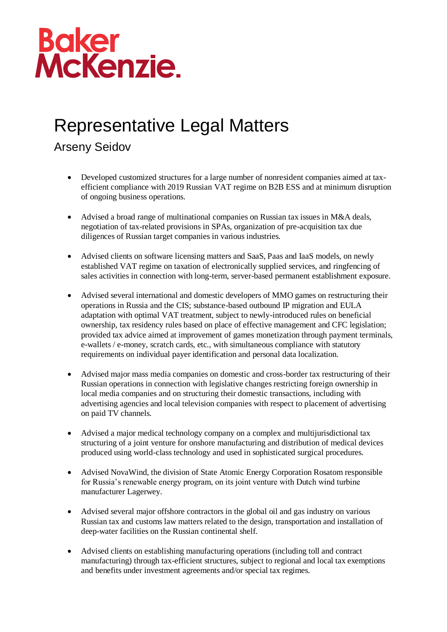## Baker<br>McKenzie.

## Representative Legal Matters

Arseny Seidov

- Developed customized structures for a large number of nonresident companies aimed at taxefficient compliance with 2019 Russian VAT regime on B2B ESS and at minimum disruption of ongoing business operations.
- Advised a broad range of multinational companies on Russian tax issues in M&A deals, negotiation of tax-related provisions in SPAs, organization of pre-acquisition tax due diligences of Russian target companies in various industries.
- Advised clients on software licensing matters and SaaS, Paas and IaaS models, on newly established VAT regime on taxation of electronically supplied services, and ringfencing of sales activities in connection with long-term, server-based permanent establishment exposure.
- Advised several international and domestic developers of MMO games on restructuring their operations in Russia and the CIS; substance-based outbound IP migration and EULA adaptation with optimal VAT treatment, subject to newly-introduced rules on beneficial ownership, tax residency rules based on place of effective management and CFC legislation; provided tax advice aimed at improvement of games monetization through payment terminals, e-wallets / e-money, scratch cards, etc., with simultaneous compliance with statutory requirements on individual payer identification and personal data localization.
- Advised major mass media companies on domestic and cross-border tax restructuring of their Russian operations in connection with legislative changes restricting foreign ownership in local media companies and on structuring their domestic transactions, including with advertising agencies and local television companies with respect to placement of advertising on paid TV channels.
- Advised a major medical technology company on a complex and multijurisdictional tax structuring of a joint venture for onshore manufacturing and distribution of medical devices produced using world-class technology and used in sophisticated surgical procedures.
- Advised NovaWind, the division of State Atomic Energy Corporation Rosatom responsible for Russia's renewable energy program, on its joint venture with Dutch wind turbine manufacturer Lagerwey.
- Advised several major offshore contractors in the global oil and gas industry on various Russian tax and customs law matters related to the design, transportation and installation of deep-water facilities on the Russian continental shelf.
- Advised clients on establishing manufacturing operations (including toll and contract manufacturing) through tax-efficient structures, subject to regional and local tax exemptions and benefits under investment agreements and/or special tax regimes.